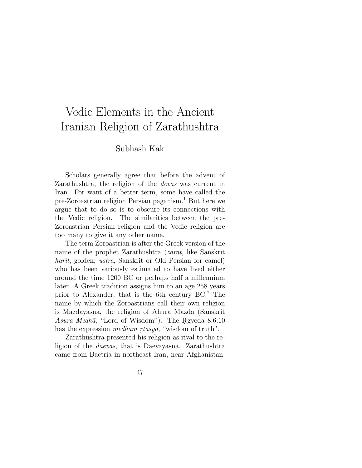# Vedic Elements in the Ancient Iranian Religion of Zarathushtra

## Subhash Kak

Scholars generally agree that before the advent of Zarathushtra, the religion of the devas was current in Iran. For want of a better term, some have called the pre-Zoroastrian religion Persian paganism.<sup>1</sup> But here we argue that to do so is to obscure its connections with the Vedic religion. The similarities between the pre-Zoroastrian Persian religion and the Vedic religion are too many to give it any other name.

The term Zoroastrian is after the Greek version of the name of the prophet Zarathushtra (zarat, like Sanskrit harit, golden; ustra, Sanskrit or Old Persian for camel) who has been variously estimated to have lived either around the time 1200 BC or perhaps half a millennium later. A Greek tradition assigns him to an age 258 years prior to Alexander, that is the 6th century BC.<sup>2</sup> The name by which the Zoroastrians call their own religion is Mazdayasna, the religion of Ahura Mazda (Sanskrit Asura Medhā, "Lord of Wisdom"). The Rgyeda  $8.6.10$ has the expression *medhām rtasya*, "wisdom of truth".

Zarathushtra presented his religion as rival to the religion of the daevas, that is Daevayasna. Zarathushtra came from Bactria in northeast Iran, near Afghanistan.

47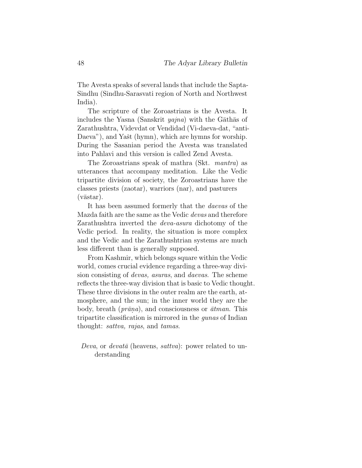The Avesta speaks of several lands that include the Sapta-Sindhu (Sindhu-Sarasvati region of North and Northwest India).

The scripture of the Zoroastrians is the Avesta. It includes the Yasna (Sanskrit  $yajna$ ) with the Gathas of Zarathushtra, Videvdat or Vendidad (Vi-daeva-dat, "anti-Daeva"), and Yašt (hymn), which are hymns for worship. During the Sasanian period the Avesta was translated into Pahlavi and this version is called Zend Avesta.

The Zoroastrians speak of mathra (Skt. mantra) as utterances that accompany meditation. Like the Vedic tripartite division of society, the Zoroastrians have the classes priests (zaotar), warriors (nar), and pasturers  $(v\bar{a}star).$ 

It has been assumed formerly that the daevas of the Mazda faith are the same as the Vedic devas and therefore Zarathushtra inverted the deva-asura dichotomy of the Vedic period. In reality, the situation is more complex and the Vedic and the Zarathushtrian systems are much less different than is generally supposed.

From Kashmir, which belongs square within the Vedic world, comes crucial evidence regarding a three-way division consisting of devas, asuras, and daevas. The scheme reflects the three-way division that is basic to Vedic thought. These three divisions in the outer realm are the earth, atmosphere, and the sun; in the inner world they are the body, breath ( $prāna$ ), and consciousness or  $\bar{a}t$ *man*. This tripartite classification is mirrored in the gunas of Indian thought: sattva, rajas, and tamas.

*Deva*, or *devata* (heavens, *sattva*): power related to understanding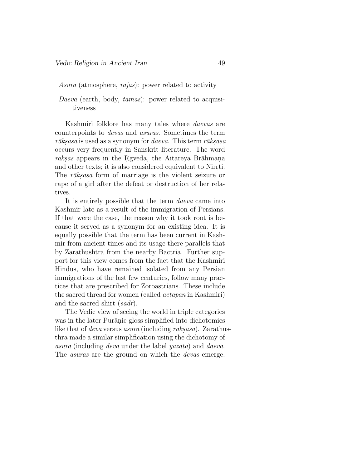Asura (atmosphere, rajas): power related to activity

Daeva (earth, body, tamas): power related to acquisitiveness

Kashmiri folklore has many tales where daevas are counterpoints to devas and asuras. Sometimes the term  $r\bar{a}ksasa$  is used as a synonym for *daeva*. This term  $r\bar{a}ksasa$ occurs very frequently in Sanskrit literature. The word raksas appears in the Rgveda, the Aitareya Brāhmana and other texts; it is also considered equivalent to Nirrti. The *rāks.asa* form of marriage is the violent seizure or rape of a girl after the defeat or destruction of her relatives.

It is entirely possible that the term daeva came into Kashmir late as a result of the immigration of Persians. If that were the case, the reason why it took root is because it served as a synonym for an existing idea. It is equally possible that the term has been current in Kashmir from ancient times and its usage there parallels that by Zarathushtra from the nearby Bactria. Further support for this view comes from the fact that the Kashmiri Hindus, who have remained isolated from any Persian immigrations of the last few centuries, follow many practices that are prescribed for Zoroastrians. These include the sacred thread for women (called *aetapan* in Kashmiri) and the sacred shirt (sadr).

The Vedic view of seeing the world in triple categories was in the later Purānic gloss simplified into dichotomies like that of *deva* versus *asura* (including  $r\bar{a}ksasa$ ). Zarathusthra made a similar simplification using the dichotomy of asura (including deva under the label yazata) and daeva. The *asuras* are the ground on which the *devas* emerge.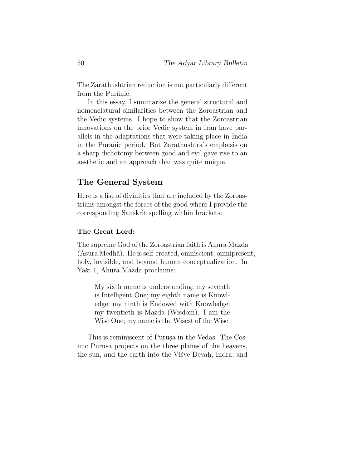The Zarathushtrian reduction is not particularly different from the Purānic.

In this essay, I summarize the general structural and nomenclatural similarities between the Zoroastrian and the Vedic systems. I hope to show that the Zoroastrian innovations on the prior Vedic system in Iran have parallels in the adaptations that were taking place in India in the Purānic period. But Zarathushtra's emphasis on a sharp dichotomy between good and evil gave rise to an aesthetic and an approach that was quite unique.

## The General System

Here is a list of divinities that are included by the Zoroastrians amongst the forces of the good where I provide the corresponding Sanskrit spelling within brackets:

#### The Great Lord:

The supreme God of the Zoroastrian faith is Ahura Mazda  $(Asura Medh\bar{a})$ . He is self-created, omniscient, omnipresent, holy, invisible, and beyond human conceptualization. In Yašt 1, Ahura Mazda proclaims:

My sixth name is understanding; my seventh is Intelligent One; my eighth name is Knowledge; my ninth is Endowed with Knowledge; my twentieth is Mazda (Wisdom). I am the Wise One; my name is the Wisest of the Wise.

This is reminiscent of Purusa in the Vedas. The Cosmic Purus aprojects on the three planes of the heavens, the sun, and the earth into the Visve Devah, Indra, and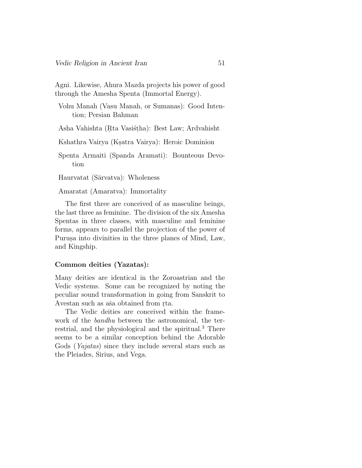Agni. Likewise, Ahura Mazda projects his power of good through the Amesha Spenta (Immortal Energy).

Vohu Manah (Vasu Manah, or Sumanas): Good Intention; Persian Bahman

Asha Vahishta (Rta Vasistha): Best Law; Ardvahisht

Kshathra Vairya (Ksatra Vairya): Heroic Dominion

Spenta Armaiti (Spanda Aramati): Bounteous Devotion

Haurvatat (Sārvatva): Wholeness

Amaratat (Amaratva): Immortality

The first three are conceived of as masculine beings, the last three as feminine. The division of the six Amesha Spentas in three classes, with masculine and feminine forms, appears to parallel the projection of the power of Purusa into divinities in the three planes of Mind, Law, and Kingship.

#### Common deities (Yazatas):

Many deities are identical in the Zoroastrian and the Vedic systems. Some can be recognized by noting the peculiar sound transformation in going from Sanskrit to Avestan such as aša obtained from r<sub>ta</sub>.

The Vedic deities are conceived within the framework of the bandhu between the astronomical, the terrestrial, and the physiological and the spiritual.<sup>3</sup> There seems to be a similar conception behind the Adorable Gods (Yajatas) since they include several stars such as the Pleiades, Sirius, and Vega.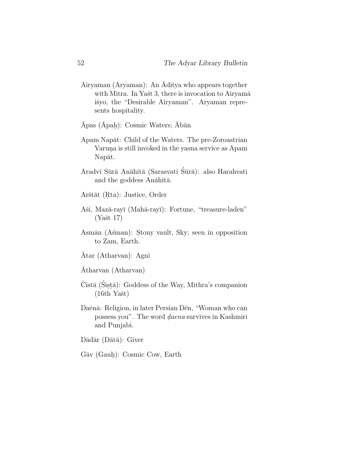- Airyaman (Aryaman): An  $\overline{A}$ ditya who appears together with Mitra. In Yašt 3, there is invocation to Airyamā išyo, the "Desirable Airyaman". Aryaman represents hospitality.
- $\bar{\rm A} {\rm pas}$  ( $\bar{\rm A} {\rm pah}$ ): Cosmic Waters;  $\bar{\rm A} {\rm b} \bar{\rm a} {\rm n}$
- Apam Napāt: Child of the Waters. The pre-Zoroastrian Varuna is still invoked in the yasna service as Apam Napāt.
- Aradvi Sūrā Anāhitā (Sarasvati Śūrā): also Harahvati and the goddess Anāhitā.
- Arštāt (Rta): Justice, Order
- Aši, Mazā-rayī (Mahā-rayī): Fortune, "treasure-laden"  $(Ya\text{st }17)$
- Asmān (Asman): Stony vault, Sky; seen in opposition to Zam, Earth.
- Atar (Atharvan): Agni
- Atharvan (Atharvan)
- Čistā (Śiṣṭā): Goddess of the Way, Mithra's companion  $(16th \text{ Yašt})$
- Daēnā: Religion, in later Persian Dēn, "Woman who can possess you". The word *daena* survives in Kashmiri and Punjabi.
- $D\bar{a}d\bar{a}r$  ( $D\bar{a}t\bar{a}$ ): Giver
- Gāv (Gauḥ): Cosmic Cow, Earth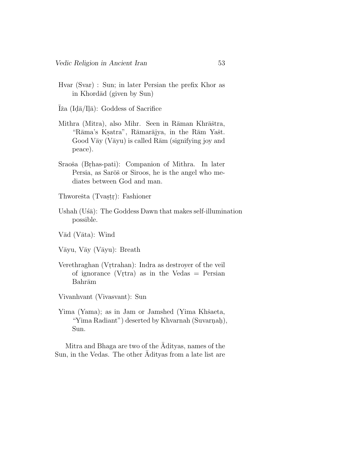Hvar (Svar) : Sun; in later Persian the prefix Khor as in Khordād (given by Sun)

 $\bar{I}$ ža (Id $\bar{a}$ /Il $\bar{a}$ ): Goddess of Sacrifice

- Mithra (Mitra), also Mihr. Seen in Rāman Khrāštra, "Rāma's Ksatra", Rāmarājya, in the Rām Yašt. Good V $\bar{a}y$  (V $\bar{a}yu$ ) is called R $\bar{a}m$  (signifying joy and peace).
- Sraoša (Brhas-pati): Companion of Mithra. In later Persia, as Sarōš or Siroos, he is the angel who mediates between God and man.
- Thworešta (Tvașțr): Fashioner
- Ushah (U $\delta\bar{a}$ ): The Goddess Dawn that makes self-illumination possible.
- Vād (Vāta): Wind

Vāyu, Vāy (Vāyu): Breath

Verethraghan (Vrtrahan): Indra as destroyer of the veil of ignorance (Vrtra) as in the Vedas  $=$  Persian Bahrām

Vivanhvant (Vivasvant): Sun

Yima (Yama); as in Jam or Jamshed (Yima Khšaeta, "Yima Radiant") deserted by Khvarnah (Suvarnah), Sun.

Mitra and Bhaga are two of the Adityas, names of the Sun, in the Vedas. The other  $\overline{A}$ dityas from a late list are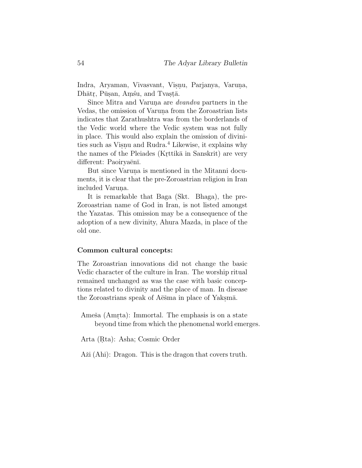Indra, Aryaman, Vivasvant, Visnu, Parjanya, Varuna, Dhātr, Pūsan, Amsu, and Tvastā.

Since Mitra and Varuna are *dvandva* partners in the Vedas, the omission of Varuna from the Zoroastrian lists indicates that Zarathushtra was from the borderlands of the Vedic world where the Vedic system was not fully in place. This would also explain the omission of divinities such as Visnu and Rudra.<sup>4</sup> Likewise, it explains why the names of the Pleiades (Krittikā in Sanskrit) are very different: Paoiryaēnī.

But since Varuna is mentioned in the Mitanni documents, it is clear that the pre-Zoroastrian religion in Iran included Varuna.

It is remarkable that Baga (Skt. Bhaga), the pre-Zoroastrian name of God in Iran, is not listed amongst the Yazatas. This omission may be a consequence of the adoption of a new divinity, Ahura Mazda, in place of the old one.

#### Common cultural concepts:

The Zoroastrian innovations did not change the basic Vedic character of the culture in Iran. The worship ritual remained unchanged as was the case with basic conceptions related to divinity and the place of man. In disease the Zoroastrians speak of Aēšma in place of Yaksmā.

Ameša (Amṛta): Immortal. The emphasis is on a state beyond time from which the phenomenal world emerges.

Arta (Rta): Asha; Cosmic Order

Aži (Ahi): Dragon. This is the dragon that covers truth.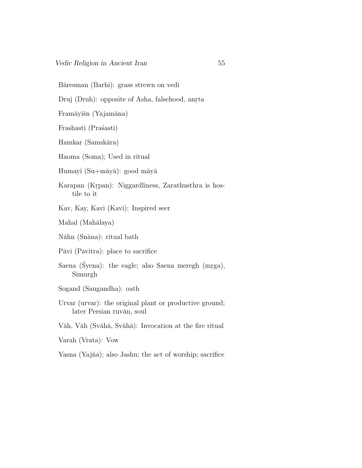Bāresman (Barhi): grass strewn on vedi

Druj (Druh): opposite of Asha, falsehood, anrta

Framāyišn (Yajamāna)

Frashasti (Prašasti)

Hamkar (Samskāra)

Haoma (Soma); Used in ritual

Humayi  $(Su+m\bar{a}y\bar{a})$ : good māyā

- Karapan (Krpan): Niggardliness, Zarathusthra is hostile to it
- Kav, Kay, Kavi (Kavi): Inspired seer

Mahal (Mahālaya)

Nāhn (Snāna): ritual bath

Pāvi (Pavitra): place to sacrifice

- Saena (Syena): the eagle; also Saena meregh (mrga), Simurgh
- Sogand (Saugandha): oath
- Urvar (urvar): the original plant or productive ground; later Persian ruvān, soul

Vāh, Vāh (Svāhā, Svāhā): Invocation at the fire ritual

Varah (Vrata): Vow

Yasna (Yajña); also Jashn; the act of worship; sacrifice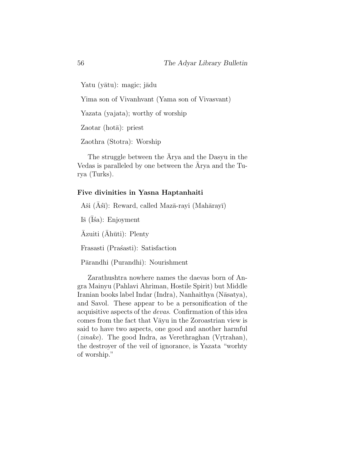Yatu (yātu): magic; jādu

Yima son of Vivanhvant (Yama son of Vivasvant)

Yazata (yajata); worthy of worship

 $Zaotar$  (hota): priest

Zaothra (Stotra): Worship

The struggle between the Arya and the Dasyu in the Vedas is paralleled by one between the  $\bar{A}$ rya and the Turya (Turks).

#### Five divinities in Yasna Haptanhaiti

Aši (Asī): Reward, called Mazā-rayi (Mahārayī)

Iš (Īśa): Enjoyment

 $\bar{A}$ zuiti ( $\bar{A}$ hūti): Plenty

Frasasti (Prašasti): Satisfaction

Pārandhi (Purandhi): Nourishment

Zarathushtra nowhere names the daevas born of Angra Mainyu (Pahlavi Ahriman, Hostile Spirit) but Middle Iranian books label Indar (Indra), Nanhaithya (Nāsatya), and Savol. These appear to be a personification of the acquisitive aspects of the devas. Confirmation of this idea comes from the fact that Vayu in the Zoroastrian view is said to have two aspects, one good and another harmful  $(zinake)$ . The good Indra, as Verethraghan (Vrtrahan), the destroyer of the veil of ignorance, is Yazata "worhty of worship."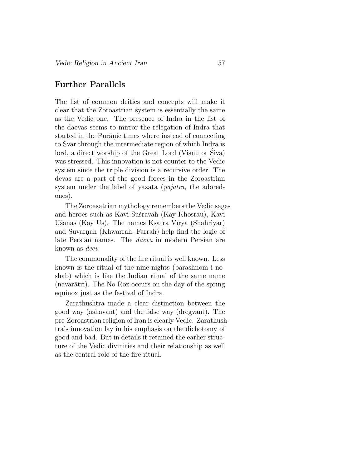## Further Parallels

The list of common deities and concepts will make it clear that the Zoroastrian system is essentially the same as the Vedic one. The presence of Indra in the list of the daevas seems to mirror the relegation of Indra that started in the Purānic times where instead of connecting to Svar through the intermediate region of which Indra is lord, a direct worship of the Great Lord (Visnu or Siva) was stressed. This innovation is not counter to the Vedic system since the triple division is a recursive order. The devas are a part of the good forces in the Zoroastrian system under the label of yazata (yajatra, the adoredones).

The Zoroasatrian mythology remembers the Vedic sages and heroes such as Kavi Sustravah (Kay Khosrau), Kavi Ušanas (Kay Us). The names Ksatra Vīrya (Shahriyar) and Suvarnah (Khwarrah, Farrah) help find the logic of late Persian names. The daeva in modern Persian are known as deev.

The commonality of the fire ritual is well known. Less known is the ritual of the nine-nights (barashnom i noshab) which is like the Indian ritual of the same name (navarātri). The No Roz occurs on the day of the spring equinox just as the festival of Indra.

Zarathushtra made a clear distinction between the good way (ashavant) and the false way (dregvant). The pre-Zoroastrian religion of Iran is clearly Vedic. Zarathushtra's innovation lay in his emphasis on the dichotomy of good and bad. But in details it retained the earlier structure of the Vedic divinities and their relationship as well as the central role of the fire ritual.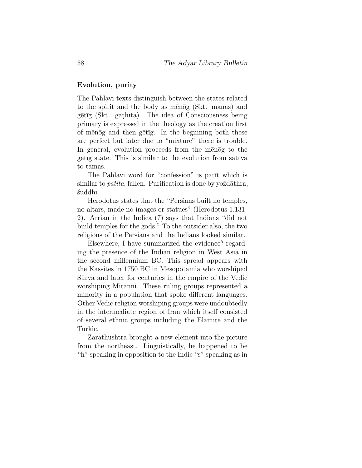#### Evolution, purity

The Pahlavi texts distinguish between the states related to the spirit and the body as menog (Skt. manas) and gētīg (Skt. gathita). The idea of Consciousness being primary is expressed in the theology as the creation first of menog and then getig. In the beginning both these are perfect but later due to "mixture" there is trouble. In general, evolution proceeds from the menog to the gētīg state. This is similar to the evolution from sattva to tamas.

The Pahlavi word for "confession" is patīt which is similar to *patita*, fallen. Purification is done by yoždāthra, ´suddhi.

Herodotus states that the "Persians built no temples, no altars, made no images or statues" (Herodotus 1.131- 2). Arrian in the Indica (7) says that Indians "did not build temples for the gods." To the outsider also, the two religions of the Persians and the Indians looked similar.

 $E$ lsewhere, I have summarized the evidence<sup>5</sup> regarding the presence of the Indian religion in West Asia in the second millennium BC. This spread appears with the Kassites in 1750 BC in Mesopotamia who worshiped Surva and later for centuries in the empire of the Vedic worshiping Mitanni. These ruling groups represented a minority in a population that spoke different languages. Other Vedic religion worshiping groups were undoubtedly in the intermediate region of Iran which itself consisted of several ethnic groups including the Elamite and the Turkic.

Zarathushtra brought a new element into the picture from the northeast. Linguistically, he happened to be "h" speaking in opposition to the Indic "s" speaking as in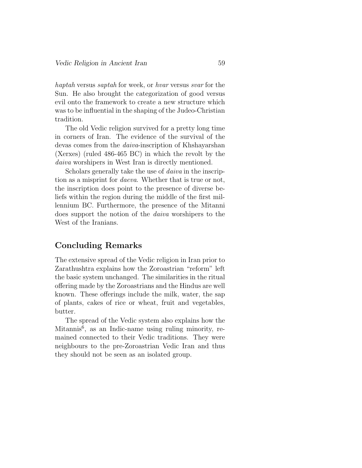haptah versus saptah for week, or hvar versus svar for the Sun. He also brought the categorization of good versus evil onto the framework to create a new structure which was to be influential in the shaping of the Judeo-Christian tradition.

The old Vedic religion survived for a pretty long time in corners of Iran. The evidence of the survival of the devas comes from the daiva-inscription of Khshayarshan (Xerxes) (ruled 486-465 BC) in which the revolt by the daiva worshipers in West Iran is directly mentioned.

Scholars generally take the use of *daiva* in the inscription as a misprint for daeva. Whether that is true or not, the inscription does point to the presence of diverse beliefs within the region during the middle of the first millennium BC. Furthermore, the presence of the Mitanni does support the notion of the daiva worshipers to the West of the Iranians.

## Concluding Remarks

The extensive spread of the Vedic religion in Iran prior to Zarathushtra explains how the Zoroastrian "reform" left the basic system unchanged. The similarities in the ritual offering made by the Zoroastrians and the Hindus are well known. These offerings include the milk, water, the sap of plants, cakes of rice or wheat, fruit and vegetables, butter.

The spread of the Vedic system also explains how the Mitannis<sup>6</sup>, as an Indic-name using ruling minority, remained connected to their Vedic traditions. They were neighbours to the pre-Zoroastrian Vedic Iran and thus they should not be seen as an isolated group.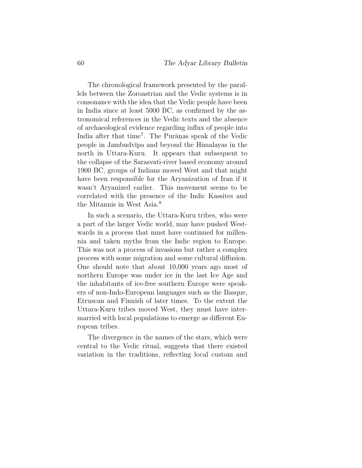The chronological framework presented by the parallels between the Zoroastrian and the Vedic systems is in consonance with the idea that the Vedic people have been in India since at least 5000 BC, as confirmed by the astronomical references in the Vedic texts and the absence of archaeological evidence regarding influx of people into India after that time<sup>7</sup>. The Purānas speak of the Vedic people in Jambudvīpa and beyond the Himalayas in the north in Uttara-Kuru. It appears that subsequent to the collapse of the Sarasvati-river based economy around 1900 BC, groups of Indians moved West and that might have been responsible for the Aryanization of Iran if it wasn't Aryanized earlier. This movement seems to be correlated with the presence of the Indic Kassites and the Mitannis in West Asia.<sup>8</sup>

In such a scenario, the Uttara-Kuru tribes, who were a part of the larger Vedic world, may have pushed Westwards in a process that must have continued for millennia and taken myths from the Indic region to Europe. This was not a process of invasions but rather a complex process with some migration and some cultural diffusion. One should note that about 10,000 years ago most of northern Europe was under ice in the last Ice Age and the inhabitants of ice-free southern Europe were speakers of non-Indo-European languages such as the Basque, Etruscan and Finnish of later times. To the extent the Uttara-Kuru tribes moved West, they must have intermarried with local populations to emerge as different European tribes.

The divergence in the names of the stars, which were central to the Vedic ritual, suggests that there existed variation in the traditions, reflecting local custom and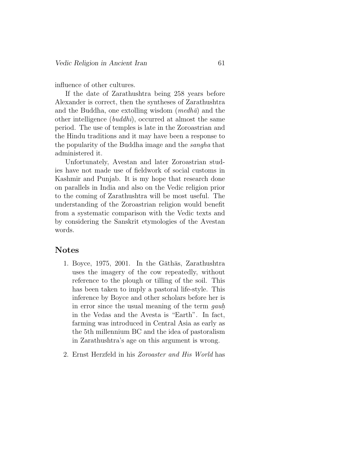influence of other cultures.

If the date of Zarathushtra being 258 years before Alexander is correct, then the syntheses of Zarathushtra and the Buddha, one extolling wisdom  $(medh\bar{a})$  and the other intelligence (buddhi), occurred at almost the same period. The use of temples is late in the Zoroastrian and the Hindu traditions and it may have been a response to the popularity of the Buddha image and the sangha that administered it.

Unfortunately, Avestan and later Zoroastrian studies have not made use of fieldwork of social customs in Kashmir and Punjab. It is my hope that research done on parallels in India and also on the Vedic religion prior to the coming of Zarathushtra will be most useful. The understanding of the Zoroastrian religion would benefit from a systematic comparison with the Vedic texts and by considering the Sanskrit etymologies of the Avestan words.

## Notes

- 1. Boyce, 1975, 2001. In the Gathas, Zarathushtra uses the imagery of the cow repeatedly, without reference to the plough or tilling of the soil. This has been taken to imply a pastoral life-style. This inference by Boyce and other scholars before her is in error since the usual meaning of the term gauh. in the Vedas and the Avesta is "Earth". In fact, farming was introduced in Central Asia as early as the 5th millennium BC and the idea of pastoralism in Zarathushtra's age on this argument is wrong.
- 2. Ernst Herzfeld in his Zoroaster and His World has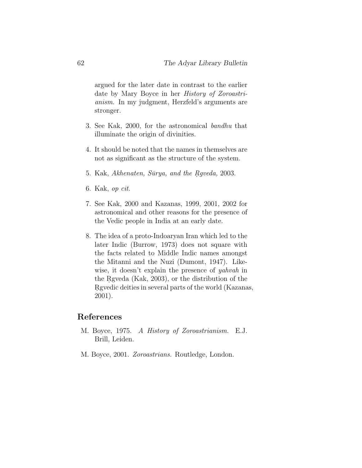argued for the later date in contrast to the earlier date by Mary Boyce in her History of Zoroastrianism. In my judgment, Herzfeld's arguments are stronger.

- 3. See Kak, 2000, for the astronomical bandhu that illuminate the origin of divinities.
- 4. It should be noted that the names in themselves are not as significant as the structure of the system.
- 5. Kak, Akhenaten, Sürya, and the Rqveda, 2003.
- 6. Kak, op cit.
- 7. See Kak, 2000 and Kazanas, 1999, 2001, 2002 for astronomical and other reasons for the presence of the Vedic people in India at an early date.
- 8. The idea of a proto-Indoaryan Iran which led to the later Indic (Burrow, 1973) does not square with the facts related to Middle Indic names amongst the Mitanni and the Nuzi (Dumont, 1947). Likewise, it doesn't explain the presence of yahvah in the Rgveda (Kak, 2003), or the distribution of the R. gvedic deities in several parts of the world (Kazanas, 2001).

### References

- M. Boyce, 1975. A History of Zoroastrianism. E.J. Brill, Leiden.
- M. Boyce, 2001. Zoroastrians. Routledge, London.